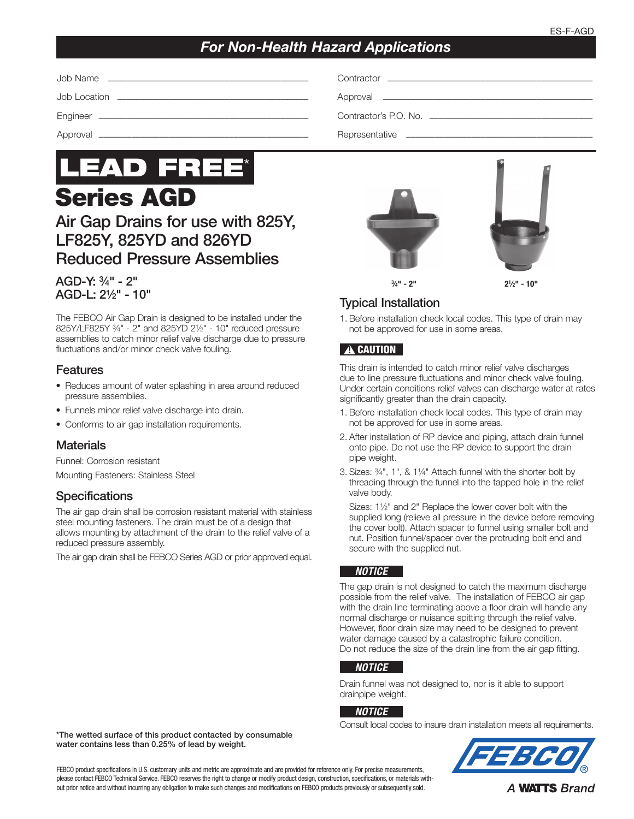# *For Non-Health Hazard Applications*

| Job Name<br><u> 1989 - Johann Stoff, amerikansk politiker (d. 1989)</u> |                       |
|-------------------------------------------------------------------------|-----------------------|
|                                                                         |                       |
|                                                                         | Contractor's P.O. No. |
| Approval                                                                |                       |



Air Gap Drains for use with 825Y, LF825Y, 825YD and 826YD Reduced Pressure Assemblies

## AGD-Y: 3⁄4" - 2" AGD-L: 21⁄2" - 10"

The FEBCO Air Gap Drain is designed to be installed under the 825Y/LF825Y 3⁄4" - 2" and 825YD 21⁄2" - 10" reduced pressure assemblies to catch minor relief valve discharge due to pressure fluctuations and/or minor check valve fouling.

## Features

- Reduces amount of water splashing in area around reduced pressure assemblies.
- Funnels minor relief valve discharge into drain.
- Conforms to air gap installation requirements.

## **Materials**

Funnel: Corrosion resistant

Mounting Fasteners: Stainless Steel

## **Specifications**

The air gap drain shall be corrosion resistant material with stainless steel mounting fasteners. The drain must be of a design that allows mounting by attachment of the drain to the relief valve of a reduced pressure assembly.

The air gap drain shall be FEBCO Series AGD or prior approved equal.





## Typical Installation

1. Before installation check local codes. This type of drain may not be approved for use in some areas.

## **A CAUTION**

This drain is intended to catch minor relief valve discharges due to line pressure fluctuations and minor check valve fouling. Under certain conditions relief valves can discharge water at rates significantly greater than the drain capacity.

- 1. Before installation check local codes. This type of drain may not be approved for use in some areas.
- 2. After installation of RP device and piping, attach drain funnel onto pipe. Do not use the RP device to support the drain pipe weight.
- 3. Sizes: 3⁄4", 1", & 11⁄4" Attach funnel with the shorter bolt by threading through the funnel into the tapped hole in the relief valve body.

Sizes: 11⁄2" and 2" Replace the lower cover bolt with the supplied long (relieve all pressure in the device before removing the cover bolt). Attach spacer to funnel using smaller bolt and nut. Position funnel/spacer over the protruding bolt end and secure with the supplied nut.

#### *NOTICE*

The gap drain is not designed to catch the maximum discharge possible from the relief valve. The installation of FEBCO air gap with the drain line terminating above a floor drain will handle any normal discharge or nuisance spitting through the relief valve. However, floor drain size may need to be designed to prevent water damage caused by a catastrophic failure condition. Do not reduce the size of the drain line from the air gap fitting.

#### *NOTICE*

Drain funnel was not designed to, nor is it able to support drainpipe weight.

#### *NOTICE*

Consult local codes to insure drain installation meets all requirements.



\*The wetted surface of this product contacted by consumable water contains less than 0.25% of lead by weight.

FEBCO product specifications in U.S. customary units and metric are approximate and are provided for reference only. For precise measurements, please contact FEBCO Technical Service. FEBCO reserves the right to change or modify product design, construction, specifications, or materials without prior notice and without incurring any obligation to make such changes and modifications on FEBCO products previously or subsequently sold.

**A WATTS Brand**